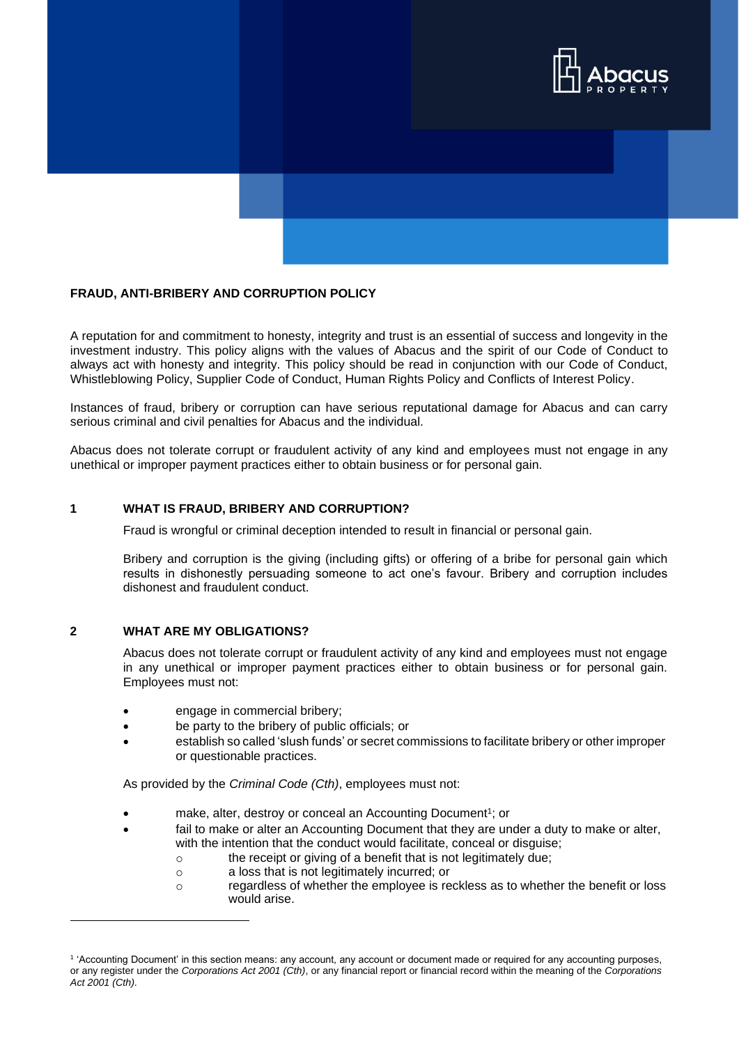



A reputation for and commitment to honesty, integrity and trust is an essential of success and longevity in the investment industry. This policy aligns with the values of Abacus and the spirit of our Code of Conduct to always act with honesty and integrity. This policy should be read in conjunction with our Code of Conduct, Whistleblowing Policy, Supplier Code of Conduct, Human Rights Policy and Conflicts of Interest Policy.

Instances of fraud, bribery or corruption can have serious reputational damage for Abacus and can carry serious criminal and civil penalties for Abacus and the individual.

Abacus does not tolerate corrupt or fraudulent activity of any kind and employees must not engage in any unethical or improper payment practices either to obtain business or for personal gain.

### **1 WHAT IS FRAUD, BRIBERY AND CORRUPTION?**

Fraud is wrongful or criminal deception intended to result in financial or personal gain.

Bribery and corruption is the giving (including gifts) or offering of a bribe for personal gain which results in dishonestly persuading someone to act one's favour. Bribery and corruption includes dishonest and fraudulent conduct.

#### **2 WHAT ARE MY OBLIGATIONS?**

Abacus does not tolerate corrupt or fraudulent activity of any kind and employees must not engage in any unethical or improper payment practices either to obtain business or for personal gain. Employees must not:

- engage in commercial bribery;
- be party to the bribery of public officials; or
- establish so called 'slush funds' or secret commissions to facilitate bribery or other improper or questionable practices.

As provided by the *Criminal Code (Cth)*, employees must not:

- make, alter, destroy or conceal an Accounting Document<sup>1</sup>; or
- fail to make or alter an Accounting Document that they are under a duty to make or alter, with the intention that the conduct would facilitate, conceal or disguise;
	- o the receipt or giving of a benefit that is not legitimately due;
	- o a loss that is not legitimately incurred; or
	- o regardless of whether the employee is reckless as to whether the benefit or loss would arise.

<sup>&</sup>lt;sup>1</sup> 'Accounting Document' in this section means: any account, any account or document made or required for any accounting purposes, or any register under the *Corporations Act 2001 (Cth)*, or any financial report or financial record within the meaning of the *Corporations Act 2001 (Cth)*.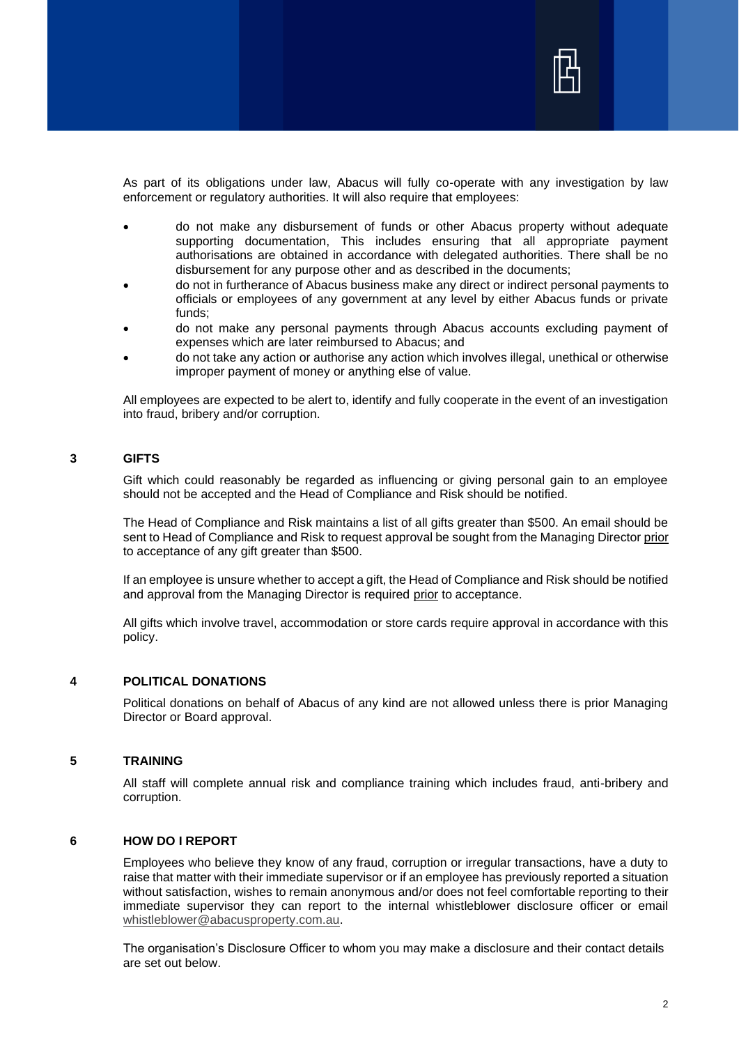

As part of its obligations under law, Abacus will fully co-operate with any investigation by law enforcement or regulatory authorities. It will also require that employees:

- do not make any disbursement of funds or other Abacus property without adequate supporting documentation, This includes ensuring that all appropriate payment authorisations are obtained in accordance with delegated authorities. There shall be no disbursement for any purpose other and as described in the documents;
- do not in furtherance of Abacus business make any direct or indirect personal payments to officials or employees of any government at any level by either Abacus funds or private funds;
- do not make any personal payments through Abacus accounts excluding payment of expenses which are later reimbursed to Abacus; and
- do not take any action or authorise any action which involves illegal, unethical or otherwise improper payment of money or anything else of value.

All employees are expected to be alert to, identify and fully cooperate in the event of an investigation into fraud, bribery and/or corruption.

## **3 GIFTS**

Gift which could reasonably be regarded as influencing or giving personal gain to an employee should not be accepted and the Head of Compliance and Risk should be notified.

The Head of Compliance and Risk maintains a list of all gifts greater than \$500. An email should be sent to Head of Compliance and Risk to request approval be sought from the Managing Director prior to acceptance of any gift greater than \$500.

If an employee is unsure whether to accept a gift, the Head of Compliance and Risk should be notified and approval from the Managing Director is required prior to acceptance.

All gifts which involve travel, accommodation or store cards require approval in accordance with this policy.

### **4 POLITICAL DONATIONS**

Political donations on behalf of Abacus of any kind are not allowed unless there is prior Managing Director or Board approval.

# **5 TRAINING**

All staff will complete annual risk and compliance training which includes fraud, anti-bribery and corruption.

# **6 HOW DO I REPORT**

Employees who believe they know of any fraud, corruption or irregular transactions, have a duty to raise that matter with their immediate supervisor or if an employee has previously reported a situation without satisfaction, wishes to remain anonymous and/or does not feel comfortable reporting to their immediate supervisor they can report to the internal whistleblower disclosure officer or email [whistleblower@abacusproperty.com.au.](mailto:whistleblower@abacusproperty.com.au)

The organisation's Disclosure Officer to whom you may make a disclosure and their contact details are set out below.